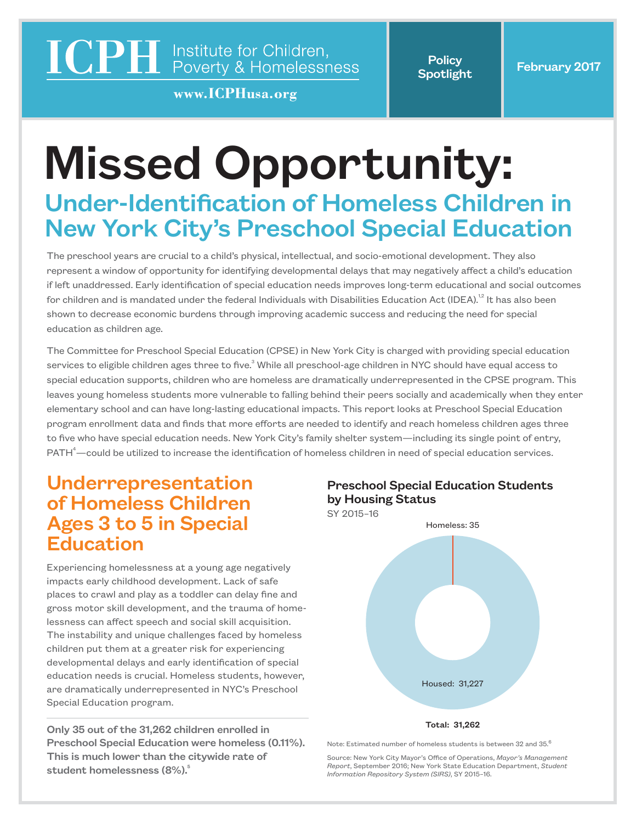# **ICPH** Institute for Children,<br>Poverty & Homelessness

www.ICPHusa.org

**Policy** 

# Missed Opportunity:

## Under-Identification of Homeless Children in New York City's Preschool Special Education

The preschool years are crucial to a child's physical, intellectual, and socio-emotional development. They also represent a window of opportunity for identifying developmental delays that may negatively affect a child's education if left unaddressed. Early identification of special education needs improves long-term educational and social outcomes for children and is mandated under the federal Individuals with Disabilities Education Act (IDEA).<sup>1,2</sup> It has also been shown to decrease economic burdens through improving academic success and reducing the need for special education as children age.

The Committee for Preschool Special Education (CPSE) in New York City is charged with providing special education services to eligible children ages three to five.<sup>3</sup> While all preschool-age children in NYC should have equal access to special education supports, children who are homeless are dramatically underrepresented in the CPSE program. This leaves young homeless students more vulnerable to falling behind their peers socially and academically when they enter elementary school and can have long-lasting educational impacts. This report looks at Preschool Special Education program enrollment data and finds that more efforts are needed to identify and reach homeless children ages three to five who have special education needs. New York City's family shelter system—including its single point of entry,  $PATH<sup>4</sup>$  could be utilized to increase the identification of homeless children in need of special education services.

### Underrepresentation of Homeless Children Ages 3 to 5 in Special Education

Experiencing homelessness at a young age negatively impacts early childhood development. Lack of safe places to crawl and play as a toddler can delay fine and gross motor skill development, and the trauma of homelessness can affect speech and social skill acquisition. The instability and unique challenges faced by homeless children put them at a greater risk for experiencing developmental delays and early identification of special education needs is crucial. Homeless students, however, are dramatically underrepresented in NYC's Preschool Special Education program.

Only 35 out of the 31,262 children enrolled in Preschool Special Education were homeless (0.11%). This is much lower than the citywide rate of student homelessness (8%).<sup>5</sup>





Note: Estimated number of homeless students is between 32 and 35.<sup>6</sup>

Source: New York City Mayor's Office of Operations, *Mayor's Management Report*, September 2016; New York State Education Department, *Student Information Repository System (SIRS)*, SY 2015–16.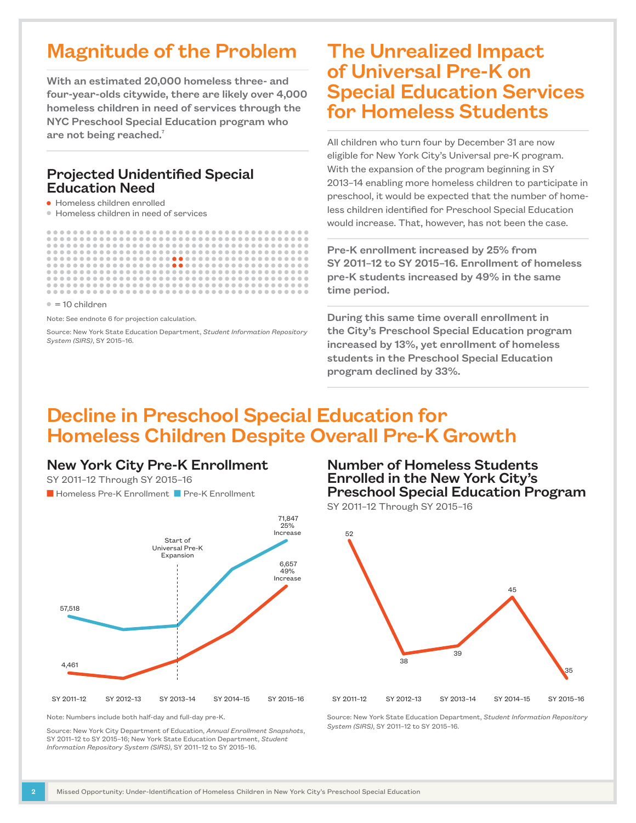## Magnitude of the Problem

With an estimated 20,000 homeless three- and four-year-olds citywide, there are likely over 4,000 homeless children in need of services through the NYC Preschool Special Education program who are not being reached.<sup>7</sup>

#### Projected Unidentified Special Education Need

● Homeless children enrolled

● Homeless children in need of services

 $= 10$  children

Note: See endnote 6 for projection calculation.

Source: New York State Education Department, *Student Information Repository System (SIRS)*, SY 2015–16.

## The Unrealized Impact of Universal Pre-K on Special Education Services for Homeless Students

All children who turn four by December 31 are now eligible for New York City's Universal pre-K program. With the expansion of the program beginning in SY 2013–14 enabling more homeless children to participate in preschool, it would be expected that the number of homeless children identified for Preschool Special Education would increase. That, however, has not been the case.

Pre-K enrollment increased by 25% from SY 2011–12 to SY 2015–16. Enrollment of homeless pre-K students increased by 49% in the same time period.

During this same time overall enrollment in the City's Preschool Special Education program increased by 13%, yet enrollment of homeless students in the Preschool Special Education program declined by 33%.

### Decline in Preschool Special Education for Homeless Children Despite Overall Pre-K Growth

#### New York City Pre-K Enrollment

SY 2011–12 Through SY 2015–16

**N** Homeless Pre-K Enrollment **N** Pre-K Enrollment



Note: Numbers include both half-day and full-day pre-K.

Source: New York City Department of Education, *Annual Enrollment Snapshots*, SY 2011–12 to SY 2015–16; New York State Education Department, *Student Information Repository System (SIRS)*, SY 2011–12 to SY 2015–16.

#### Number of Homeless Students Enrolled in the New York City's Preschool Special Education Program

SY 2011–12 Through SY 2015–16



Source: New York State Education Department, *Student Information Repository System (SIRS)*, SY 2011–12 to SY 2015–16.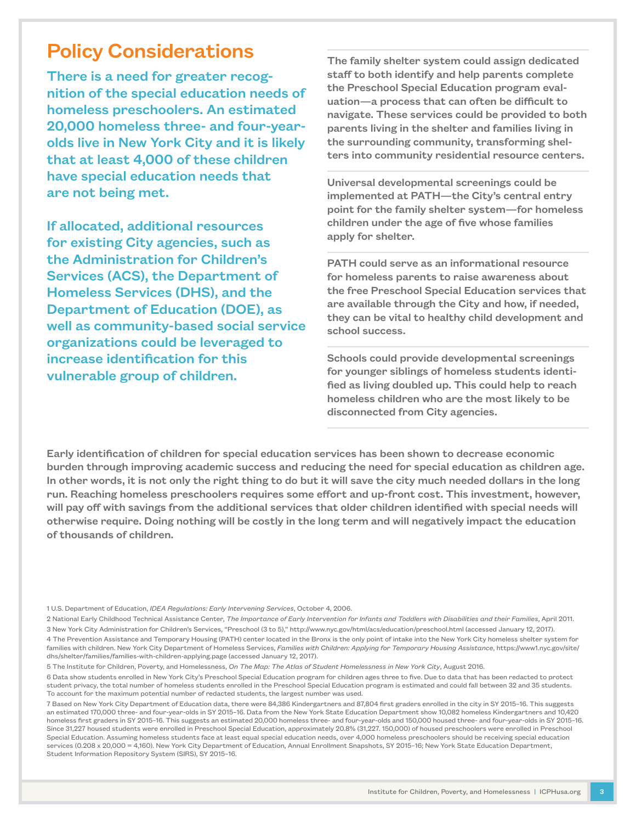## Policy Considerations

There is a need for greater recognition of the special education needs of homeless preschoolers. An estimated 20,000 homeless three- and four-yearolds live in New York City and it is likely that at least 4,000 of these children have special education needs that are not being met.

If allocated, additional resources for existing City agencies, such as the Administration for Children's Services (ACS), the Department of Homeless Services (DHS), and the Department of Education (DOE), as well as community-based social service organizations could be leveraged to increase identification for this vulnerable group of children.

The family shelter system could assign dedicated staff to both identify and help parents complete the Preschool Special Education program evaluation—a process that can often be difficult to navigate. These services could be provided to both parents living in the shelter and families living in the surrounding community, transforming shelters into community residential resource centers.

Universal developmental screenings could be implemented at PATH—the City's central entry point for the family shelter system—for homeless children under the age of five whose families apply for shelter.

PATH could serve as an informational resource for homeless parents to raise awareness about the free Preschool Special Education services that are available through the City and how, if needed, they can be vital to healthy child development and school success.

Schools could provide developmental screenings for younger siblings of homeless students identified as living doubled up. This could help to reach homeless children who are the most likely to be disconnected from City agencies.

Early identification of children for special education services has been shown to decrease economic burden through improving academic success and reducing the need for special education as children age. In other words, it is not only the right thing to do but it will save the city much needed dollars in the long run. Reaching homeless preschoolers requires some effort and up-front cost. This investment, however, will pay off with savings from the additional services that older children identified with special needs will otherwise require. Doing nothing will be costly in the long term and will negatively impact the education of thousands of children.

1 U.S. Department of Education, *IDEA Regulations: Early Intervening Services*, October 4, 2006.

2 National Early Childhood Technical Assistance Center, *The Importance of Early Intervention for Infants and Toddlers with Disabilities and their Families*, April 2011. 3 New York City Administration for Children's Services, "Preschool (3 to 5)," http://www.nyc.gov/html/acs/education/preschool.html (accessed January 12, 2017).

4 The Prevention Assistance and Temporary Housing (PATH) center located in the Bronx is the only point of intake into the New York City homeless shelter system for families with children. New York City Department of Homeless Services, *Families with Children: Applying for Temporary Housing Assistance*, https://www1.nyc.gov/site/ dhs/shelter/families/families-with-children-applying.page (accessed January 12, 2017).

5 The Institute for Children, Poverty, and Homelessness, *On The Map: The Atlas of Student Homelessness in New York City*, August 2016.

6 Data show students enrolled in New York City's Preschool Special Education program for children ages three to five. Due to data that has been redacted to protect student privacy, the total number of homeless students enrolled in the Preschool Special Education program is estimated and could fall between 32 and 35 students. To account for the maximum potential number of redacted students, the largest number was used.

7 Based on New York City Department of Education data, there were 84,386 Kindergartners and 87,804 first graders enrolled in the city in SY 2015–16. This suggests an estimated 170,000 three- and four-year-olds in SY 2015–16. Data from the New York State Education Department show 10,082 homeless Kindergartners and 10,420 homeless first graders in SY 2015–16. This suggests an estimated 20,000 homeless three- and four-year-olds and 150,000 housed three- and four-year-olds in SY 2015–16. Since 31,227 housed students were enrolled in Preschool Special Education, approximately 20.8% (31,227. 150,000) of housed preschoolers were enrolled in Preschool Special Education. Assuming homeless students face at least equal special education needs, over 4,000 homeless preschoolers should be receiving special education services (0.208 x 20,000 = 4,160). New York City Department of Education, Annual Enrollment Snapshots, SY 2015–16; New York State Education Department, Student Information Repository System (SIRS), SY 2015–16.